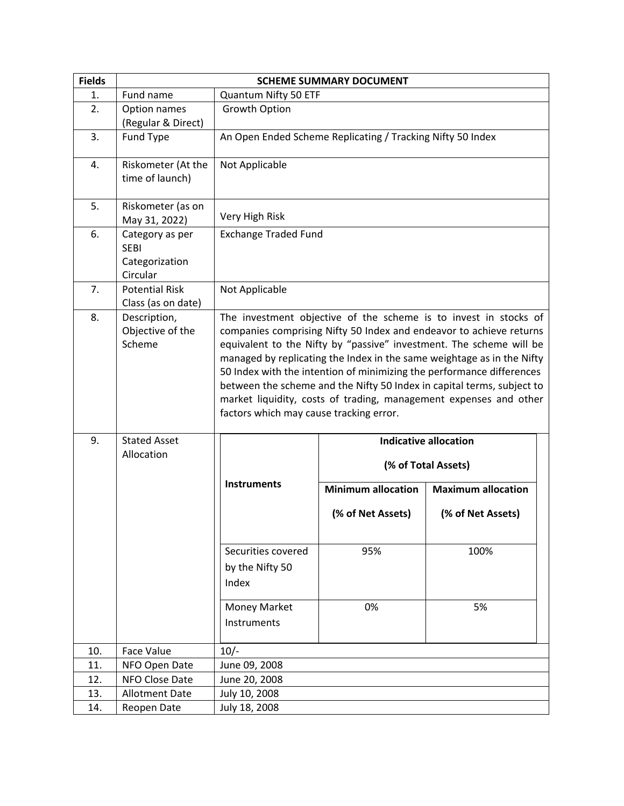| <b>Fields</b> |                                                              | <b>SCHEME SUMMARY DOCUMENT</b>                 |                                                            |                                                                                                                                                                                                                                                                                                                                                                                                                                                                                                                  |
|---------------|--------------------------------------------------------------|------------------------------------------------|------------------------------------------------------------|------------------------------------------------------------------------------------------------------------------------------------------------------------------------------------------------------------------------------------------------------------------------------------------------------------------------------------------------------------------------------------------------------------------------------------------------------------------------------------------------------------------|
| 1.            | Fund name                                                    | Quantum Nifty 50 ETF                           |                                                            |                                                                                                                                                                                                                                                                                                                                                                                                                                                                                                                  |
| 2.            | Option names<br>(Regular & Direct)                           | Growth Option                                  |                                                            |                                                                                                                                                                                                                                                                                                                                                                                                                                                                                                                  |
| 3.            | Fund Type                                                    |                                                | An Open Ended Scheme Replicating / Tracking Nifty 50 Index |                                                                                                                                                                                                                                                                                                                                                                                                                                                                                                                  |
| 4.            | Riskometer (At the<br>time of launch)                        | Not Applicable                                 |                                                            |                                                                                                                                                                                                                                                                                                                                                                                                                                                                                                                  |
| 5.            | Riskometer (as on<br>May 31, 2022)                           | Very High Risk                                 |                                                            |                                                                                                                                                                                                                                                                                                                                                                                                                                                                                                                  |
| 6.            | Category as per<br><b>SEBI</b><br>Categorization<br>Circular | <b>Exchange Traded Fund</b>                    |                                                            |                                                                                                                                                                                                                                                                                                                                                                                                                                                                                                                  |
| 7.            | <b>Potential Risk</b><br>Class (as on date)                  | Not Applicable                                 |                                                            |                                                                                                                                                                                                                                                                                                                                                                                                                                                                                                                  |
| 8.            | Description,<br>Objective of the<br>Scheme                   | factors which may cause tracking error.        |                                                            | The investment objective of the scheme is to invest in stocks of<br>companies comprising Nifty 50 Index and endeavor to achieve returns<br>equivalent to the Nifty by "passive" investment. The scheme will be<br>managed by replicating the Index in the same weightage as in the Nifty<br>50 Index with the intention of minimizing the performance differences<br>between the scheme and the Nifty 50 Index in capital terms, subject to<br>market liquidity, costs of trading, management expenses and other |
| 9.            | <b>Stated Asset</b><br>Allocation                            |                                                | <b>Indicative allocation</b><br>(% of Total Assets)        |                                                                                                                                                                                                                                                                                                                                                                                                                                                                                                                  |
|               |                                                              | <b>Instruments</b>                             | <b>Minimum allocation</b>                                  | <b>Maximum allocation</b>                                                                                                                                                                                                                                                                                                                                                                                                                                                                                        |
|               |                                                              |                                                | (% of Net Assets)                                          | (% of Net Assets)                                                                                                                                                                                                                                                                                                                                                                                                                                                                                                |
|               |                                                              | Securities covered<br>by the Nifty 50<br>Index | 95%                                                        | 100%                                                                                                                                                                                                                                                                                                                                                                                                                                                                                                             |
|               |                                                              | Money Market<br>Instruments                    | 0%                                                         | 5%                                                                                                                                                                                                                                                                                                                                                                                                                                                                                                               |
| 10.           | Face Value                                                   | $10/-$                                         |                                                            |                                                                                                                                                                                                                                                                                                                                                                                                                                                                                                                  |
| 11.           | NFO Open Date                                                | June 09, 2008                                  |                                                            |                                                                                                                                                                                                                                                                                                                                                                                                                                                                                                                  |
| 12.           | NFO Close Date                                               | June 20, 2008                                  |                                                            |                                                                                                                                                                                                                                                                                                                                                                                                                                                                                                                  |
| 13.           | <b>Allotment Date</b>                                        | July 10, 2008                                  |                                                            |                                                                                                                                                                                                                                                                                                                                                                                                                                                                                                                  |
| 14.           | Reopen Date                                                  | July 18, 2008                                  |                                                            |                                                                                                                                                                                                                                                                                                                                                                                                                                                                                                                  |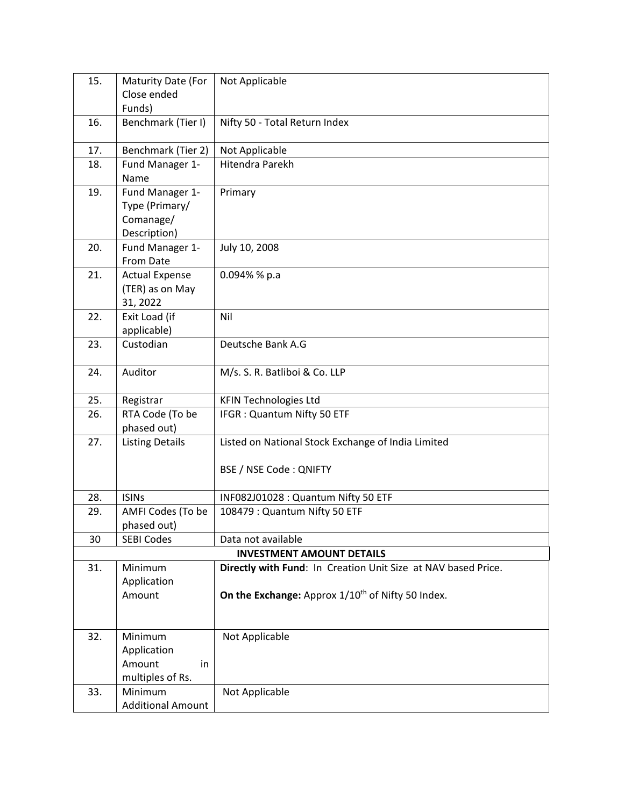| 15. | Maturity Date (For           | Not Applicable                                                |  |
|-----|------------------------------|---------------------------------------------------------------|--|
|     | Close ended                  |                                                               |  |
| 16. | Funds)<br>Benchmark (Tier I) | Nifty 50 - Total Return Index                                 |  |
|     |                              |                                                               |  |
| 17. | Benchmark (Tier 2)           | Not Applicable                                                |  |
| 18. | Fund Manager 1-              | Hitendra Parekh                                               |  |
|     | Name                         |                                                               |  |
| 19. | Fund Manager 1-              | Primary                                                       |  |
|     | Type (Primary/               |                                                               |  |
|     | Comanage/<br>Description)    |                                                               |  |
| 20. | Fund Manager 1-              | July 10, 2008                                                 |  |
|     | From Date                    |                                                               |  |
| 21. | <b>Actual Expense</b>        | $0.094\%$ % p.a                                               |  |
|     | (TER) as on May              |                                                               |  |
|     | 31, 2022                     |                                                               |  |
| 22. | Exit Load (if                | Nil                                                           |  |
|     | applicable)<br>Custodian     | Deutsche Bank A.G                                             |  |
| 23. |                              |                                                               |  |
| 24. | Auditor                      | M/s. S. R. Batliboi & Co. LLP                                 |  |
|     |                              |                                                               |  |
| 25. | Registrar                    | <b>KFIN Technologies Ltd</b>                                  |  |
| 26. | RTA Code (To be              | IFGR: Quantum Nifty 50 ETF                                    |  |
|     | phased out)                  |                                                               |  |
| 27. | <b>Listing Details</b>       | Listed on National Stock Exchange of India Limited            |  |
|     |                              | <b>BSE / NSE Code: QNIFTY</b>                                 |  |
|     |                              |                                                               |  |
| 28. | <b>ISINs</b>                 | INF082J01028 : Quantum Nifty 50 ETF                           |  |
| 29. | AMFI Codes (To be            | 108479 : Quantum Nifty 50 ETF                                 |  |
|     | phased out)                  |                                                               |  |
| 30  | <b>SEBI Codes</b>            | Data not available                                            |  |
|     |                              | <b>INVESTMENT AMOUNT DETAILS</b>                              |  |
| 31. | Minimum                      | Directly with Fund: In Creation Unit Size at NAV based Price. |  |
|     | Application                  | On the Exchange: Approx 1/10 <sup>th</sup> of Nifty 50 Index. |  |
|     | Amount                       |                                                               |  |
|     |                              |                                                               |  |
| 32. | Minimum                      | Not Applicable                                                |  |
|     | Application                  |                                                               |  |
|     | Amount<br>in                 |                                                               |  |
|     | multiples of Rs.             |                                                               |  |
| 33. | Minimum                      | Not Applicable                                                |  |
|     | <b>Additional Amount</b>     |                                                               |  |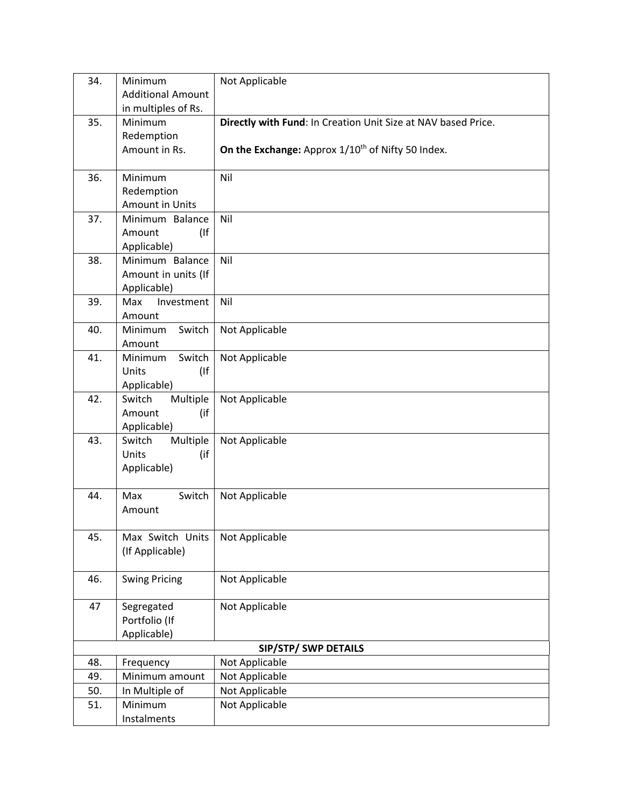| 34. | Minimum                         | Not Applicable                                                |
|-----|---------------------------------|---------------------------------------------------------------|
|     | <b>Additional Amount</b>        |                                                               |
|     | in multiples of Rs.             |                                                               |
| 35. | Minimum                         | Directly with Fund: In Creation Unit Size at NAV based Price. |
|     | Redemption                      |                                                               |
|     | Amount in Rs.                   | On the Exchange: Approx 1/10 <sup>th</sup> of Nifty 50 Index. |
| 36. | Minimum                         | Nil                                                           |
|     | Redemption                      |                                                               |
|     | <b>Amount in Units</b>          |                                                               |
| 37. | Minimum Balance                 | Nil                                                           |
|     | Amount<br>(                     |                                                               |
|     | Applicable)                     |                                                               |
| 38. | Minimum Balance                 | Nil                                                           |
|     | Amount in units (If             |                                                               |
|     | Applicable)                     |                                                               |
| 39. | Investment<br>Max               | Nil                                                           |
|     | Amount                          |                                                               |
| 40. | Switch<br>Minimum               | Not Applicable                                                |
| 41. | Amount                          |                                                               |
|     | Switch<br>Minimum<br>(<br>Units | Not Applicable                                                |
|     | Applicable)                     |                                                               |
| 42. | Multiple<br>Switch              | Not Applicable                                                |
|     | (if<br>Amount                   |                                                               |
|     | Applicable)                     |                                                               |
| 43. | Switch<br>Multiple              | Not Applicable                                                |
|     | Units<br>(if                    |                                                               |
|     | Applicable)                     |                                                               |
|     |                                 |                                                               |
| 44. | Switch<br>Max                   | Not Applicable                                                |
|     | Amount                          |                                                               |
| 45. | Max Switch Units                | Not Applicable                                                |
|     | (If Applicable)                 |                                                               |
|     |                                 |                                                               |
| 46. | <b>Swing Pricing</b>            | Not Applicable                                                |
|     |                                 |                                                               |
| 47  | Segregated                      | Not Applicable                                                |
|     | Portfolio (If                   |                                                               |
|     | Applicable)                     |                                                               |
| 48. |                                 | SIP/STP/ SWP DETAILS                                          |
| 49. | Frequency<br>Minimum amount     | Not Applicable<br>Not Applicable                              |
| 50. | In Multiple of                  | Not Applicable                                                |
| 51. | Minimum                         | Not Applicable                                                |
|     | Instalments                     |                                                               |